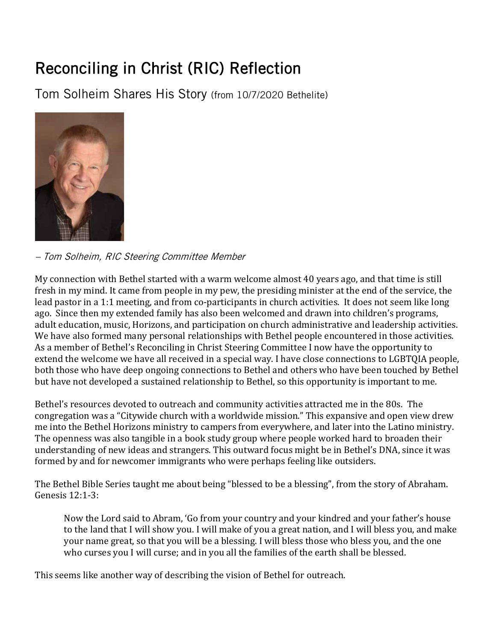## Reconciling in Christ (RIC) Reflection

Tom Solheim Shares His Story (from 10/7/2020 Bethelite)



– Tom Solheim, RIC Steering Committee Member

My connection with Bethel started with a warm welcome almost 40 years ago, and that time is still fresh in my mind. It came from people in my pew, the presiding minister at the end of the service, the lead pastor in a 1:1 meeting, and from co-participants in church activities. It does not seem like long ago. Since then my extended family has also been welcomed and drawn into children's programs, adult education, music, Horizons, and participation on church administrative and leadership activities. We have also formed many personal relationships with Bethel people encountered in those activities. As a member of Bethel's Reconciling in Christ Steering Committee I now have the opportunity to extend the welcome we have all received in a special way. I have close connections to LGBTQIA people, both those who have deep ongoing connections to Bethel and others who have been touched by Bethel but have not developed a sustained relationship to Bethel, so this opportunity is important to me.

Bethel's resources devoted to outreach and community activities attracted me in the 80s. The congregation was a "Citywide church with a worldwide mission." This expansive and open view drew me into the Bethel Horizons ministry to campers from everywhere, and later into the Latino ministry. The openness was also tangible in a book study group where people worked hard to broaden their understanding of new ideas and strangers. This outward focus might be in Bethel's DNA, since it was formed by and for newcomer immigrants who were perhaps feeling like outsiders.

The Bethel Bible Series taught me about being "blessed to be a blessing", from the story of Abraham. Genesis 12:1-3:

Now the Lord said to Abram, 'Go from your country and your kindred and your father's house to the land that I will show you. I will make of you a great nation, and I will bless you, and make your name great, so that you will be a blessing. I will bless those who bless you, and the one who curses you I will curse; and in you all the families of the earth shall be blessed.

This seems like another way of describing the vision of Bethel for outreach.